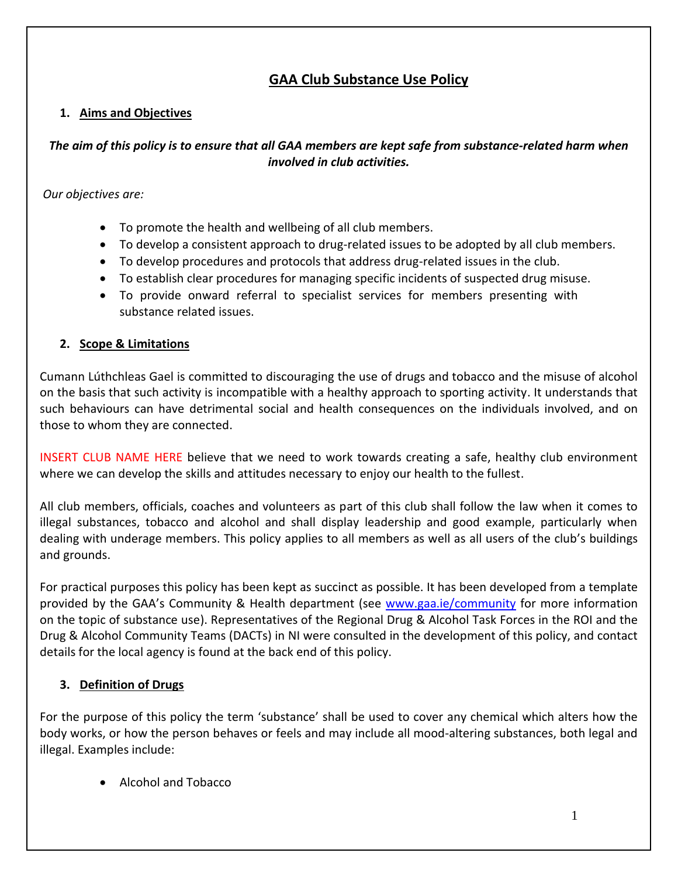# **GAA Club Substance Use Policy**

## **1. Aims and Objectives**

## *The aim of this policy is to ensure that all GAA members are kept safe from substance-related harm when involved in club activities.*

*Our objectives are:*

- To promote the health and wellbeing of all club members.
- To develop a consistent approach to drug-related issues to be adopted by all club members.
- To develop procedures and protocols that address drug-related issues in the club.
- To establish clear procedures for managing specific incidents of suspected drug misuse.
- To provide onward referral to specialist services for members presenting with substance related issues.

## **2. Scope & Limitations**

Cumann Lúthchleas Gael is committed to discouraging the use of drugs and tobacco and the misuse of alcohol on the basis that such activity is incompatible with a healthy approach to sporting activity. It understands that such behaviours can have detrimental social and health consequences on the individuals involved, and on those to whom they are connected.

INSERT CLUB NAME HERE believe that we need to work towards creating a safe, healthy club environment where we can develop the skills and attitudes necessary to enjoy our health to the fullest.

All club members, officials, coaches and volunteers as part of this club shall follow the law when it comes to illegal substances, tobacco and alcohol and shall display leadership and good example, particularly when dealing with underage members. This policy applies to all members as well as all users of the club's buildings and grounds.

For practical purposes this policy has been kept as succinct as possible. It has been developed from a template provided by the GAA's Community & Health department (see [www.gaa.ie/community](http://www.gaa.ie/community) for more information on the topic of substance use). Representatives of the Regional Drug & Alcohol Task Forces in the ROI and the Drug & Alcohol Community Teams (DACTs) in NI were consulted in the development of this policy, and contact details for the local agency is found at the back end of this policy.

# **3. Definition of Drugs**

For the purpose of this policy the term 'substance' shall be used to cover any chemical which alters how the body works, or how the person behaves or feels and may include all mood-altering substances, both legal and illegal. Examples include:

• Alcohol and Tobacco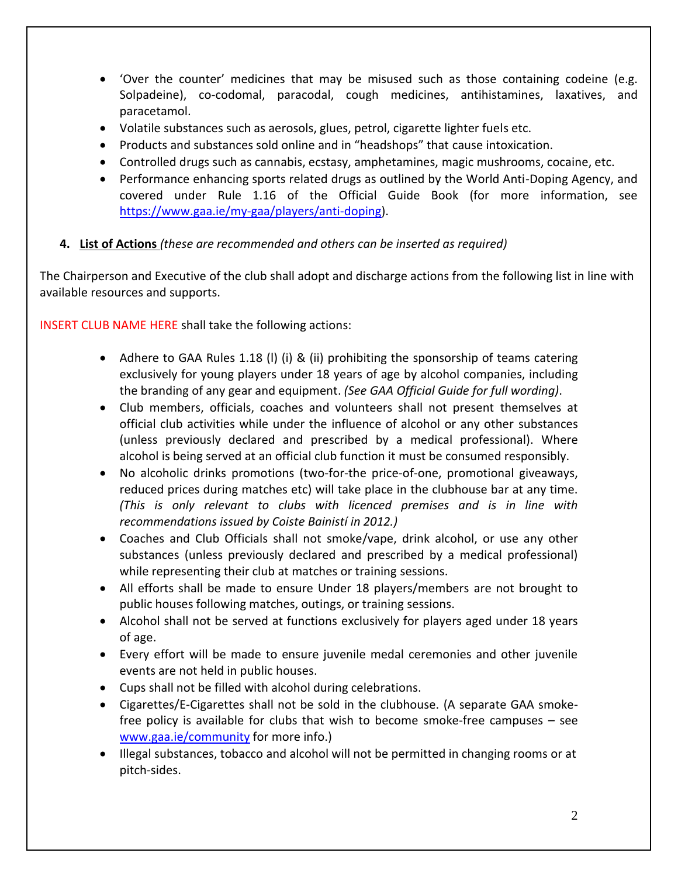- 'Over the counter' medicines that may be misused such as those containing codeine (e.g. Solpadeine), co-codomal, paracodal, cough medicines, antihistamines, laxatives, and paracetamol.
- Volatile substances such as aerosols, glues, petrol, cigarette lighter fuels etc.
- Products and substances sold online and in "headshops" that cause intoxication.
- Controlled drugs such as cannabis, ecstasy, amphetamines, magic mushrooms, cocaine, etc.
- Performance enhancing sports related drugs as outlined by the World Anti-Doping Agency, and covered under Rule 1.16 of the Official Guide Book (for more information, see [https://www.gaa.ie/my-gaa/players/anti-doping\)](https://www.gaa.ie/my-gaa/players/anti-doping).
- **4. List of Actions** *(these are recommended and others can be inserted as required)*

The Chairperson and Executive of the club shall adopt and discharge actions from the following list in line with available resources and supports.

INSERT CLUB NAME HERE shall take the following actions:

- Adhere to GAA Rules 1.18 (I) (i) & (ii) prohibiting the sponsorship of teams catering exclusively for young players under 18 years of age by alcohol companies, including the branding of any gear and equipment. *(See GAA Official Guide for full wording)*.
- Club members, officials, coaches and volunteers shall not present themselves at official club activities while under the influence of alcohol or any other substances (unless previously declared and prescribed by a medical professional). Where alcohol is being served at an official club function it must be consumed responsibly.
- No alcoholic drinks promotions (two-for-the price-of-one, promotional giveaways, reduced prices during matches etc) will take place in the clubhouse bar at any time. *(This is only relevant to clubs with licenced premises and is in line with recommendations issued by Coiste Bainistí in 2012.)*
- Coaches and Club Officials shall not smoke/vape, drink alcohol, or use any other substances (unless previously declared and prescribed by a medical professional) while representing their club at matches or training sessions.
- All efforts shall be made to ensure Under 18 players/members are not brought to public houses following matches, outings, or training sessions.
- Alcohol shall not be served at functions exclusively for players aged under 18 years of age.
- Every effort will be made to ensure juvenile medal ceremonies and other juvenile events are not held in public houses.
- Cups shall not be filled with alcohol during celebrations.
- Cigarettes/E-Cigarettes shall not be sold in the clubhouse. (A separate GAA smokefree policy is available for clubs that wish to become smoke-free campuses – see [www.gaa.ie/community](http://www.gaa.ie/community) for more info.)
- Illegal substances, tobacco and alcohol will not be permitted in changing rooms or at pitch-sides.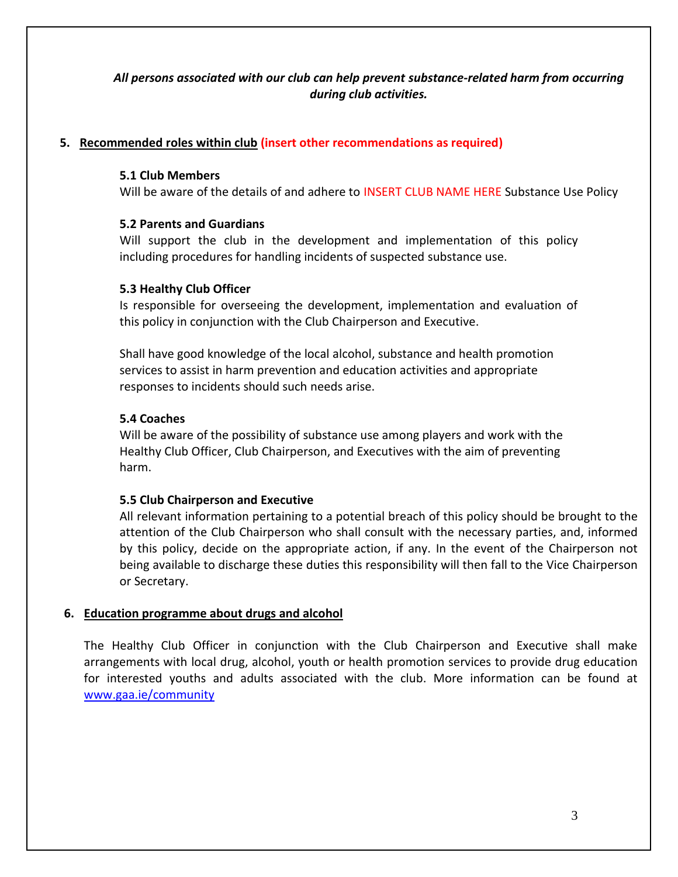## *All persons associated with our club can help prevent substance-related harm from occurring during club activities.*

## **5. Recommended roles within club (insert other recommendations as required)**

#### **5.1 Club Members**

Will be aware of the details of and adhere to INSERT CLUB NAME HERE Substance Use Policy

#### **5.2 Parents and Guardians**

Will support the club in the development and implementation of this policy including procedures for handling incidents of suspected substance use.

#### **5.3 Healthy Club Officer**

Is responsible for overseeing the development, implementation and evaluation of this policy in conjunction with the Club Chairperson and Executive.

Shall have good knowledge of the local alcohol, substance and health promotion services to assist in harm prevention and education activities and appropriate responses to incidents should such needs arise.

#### **5.4 Coaches**

Will be aware of the possibility of substance use among players and work with the Healthy Club Officer, Club Chairperson, and Executives with the aim of preventing harm.

#### **5.5 Club Chairperson and Executive**

All relevant information pertaining to a potential breach of this policy should be brought to the attention of the Club Chairperson who shall consult with the necessary parties, and, informed by this policy, decide on the appropriate action, if any. In the event of the Chairperson not being available to discharge these duties this responsibility will then fall to the Vice Chairperson or Secretary.

#### **6. Education programme about drugs and alcohol**

The Healthy Club Officer in conjunction with the Club Chairperson and Executive shall make arrangements with local drug, alcohol, youth or health promotion services to provide drug education for interested youths and adults associated with the club. More information can be found at [www.gaa.ie/community](http://www.gaa.ie/community)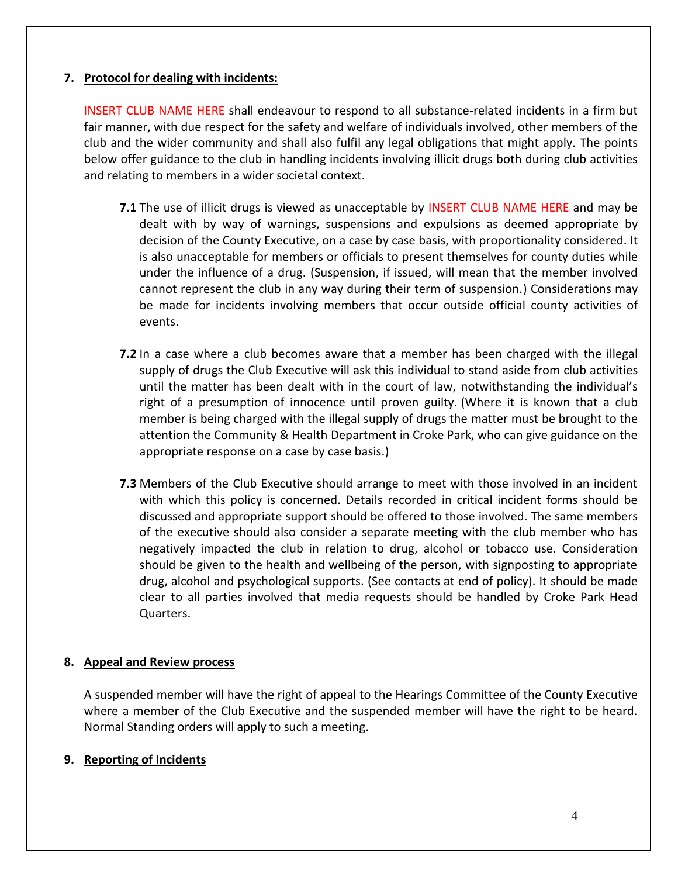### **7. Protocol for dealing with incidents:**

INSERT CLUB NAME HERE shall endeavour to respond to all substance-related incidents in a firm but fair manner, with due respect for the safety and welfare of individuals involved, other members of the club and the wider community and shall also fulfil any legal obligations that might apply. The points below offer guidance to the club in handling incidents involving illicit drugs both during club activities and relating to members in a wider societal context.

- **7.1** The use of illicit drugs is viewed as unacceptable by INSERT CLUB NAME HERE and may be dealt with by way of warnings, suspensions and expulsions as deemed appropriate by decision of the County Executive, on a case by case basis, with proportionality considered. It is also unacceptable for members or officials to present themselves for county duties while under the influence of a drug. (Suspension, if issued, will mean that the member involved cannot represent the club in any way during their term of suspension.) Considerations may be made for incidents involving members that occur outside official county activities of events.
- **7.2** In a case where a club becomes aware that a member has been charged with the illegal supply of drugs the Club Executive will ask this individual to stand aside from club activities until the matter has been dealt with in the court of law, notwithstanding the individual's right of a presumption of innocence until proven guilty. (Where it is known that a club member is being charged with the illegal supply of drugs the matter must be brought to the attention the Community & Health Department in Croke Park, who can give guidance on the appropriate response on a case by case basis.)
- **7.3** Members of the Club Executive should arrange to meet with those involved in an incident with which this policy is concerned. Details recorded in critical incident forms should be discussed and appropriate support should be offered to those involved. The same members of the executive should also consider a separate meeting with the club member who has negatively impacted the club in relation to drug, alcohol or tobacco use. Consideration should be given to the health and wellbeing of the person, with signposting to appropriate drug, alcohol and psychological supports. (See contacts at end of policy). It should be made clear to all parties involved that media requests should be handled by Croke Park Head Quarters.

## **8. Appeal and Review process**

A suspended member will have the right of appeal to the Hearings Committee of the County Executive where a member of the Club Executive and the suspended member will have the right to be heard. Normal Standing orders will apply to such a meeting.

## **9. Reporting of Incidents**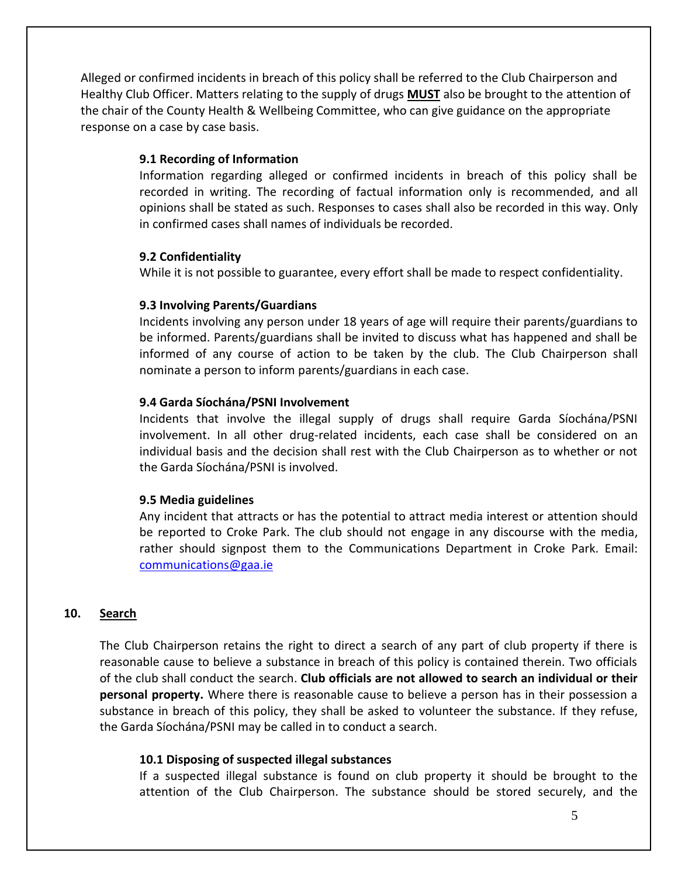Alleged or confirmed incidents in breach of this policy shall be referred to the Club Chairperson and Healthy Club Officer. Matters relating to the supply of drugs **MUST** also be brought to the attention of the chair of the County Health & Wellbeing Committee, who can give guidance on the appropriate response on a case by case basis.

### **9.1 Recording of Information**

Information regarding alleged or confirmed incidents in breach of this policy shall be recorded in writing. The recording of factual information only is recommended, and all opinions shall be stated as such. Responses to cases shall also be recorded in this way. Only in confirmed cases shall names of individuals be recorded.

#### **9.2 Confidentiality**

While it is not possible to guarantee, every effort shall be made to respect confidentiality.

## **9.3 Involving Parents/Guardians**

Incidents involving any person under 18 years of age will require their parents/guardians to be informed. Parents/guardians shall be invited to discuss what has happened and shall be informed of any course of action to be taken by the club. The Club Chairperson shall nominate a person to inform parents/guardians in each case.

#### **9.4 Garda Síochána/PSNI Involvement**

Incidents that involve the illegal supply of drugs shall require Garda Síochána/PSNI involvement. In all other drug-related incidents, each case shall be considered on an individual basis and the decision shall rest with the Club Chairperson as to whether or not the Garda Síochána/PSNI is involved.

#### **9.5 Media guidelines**

Any incident that attracts or has the potential to attract media interest or attention should be reported to Croke Park. The club should not engage in any discourse with the media, rather should signpost them to the Communications Department in Croke Park. Email: [communications@gaa.ie](mailto:communications@gaa.ie)

## **10. Search**

The Club Chairperson retains the right to direct a search of any part of club property if there is reasonable cause to believe a substance in breach of this policy is contained therein. Two officials of the club shall conduct the search. **Club officials are not allowed to search an individual or their personal property.** Where there is reasonable cause to believe a person has in their possession a substance in breach of this policy, they shall be asked to volunteer the substance. If they refuse, the Garda Síochána/PSNI may be called in to conduct a search.

#### **10.1 Disposing of suspected illegal substances**

If a suspected illegal substance is found on club property it should be brought to the attention of the Club Chairperson. The substance should be stored securely, and the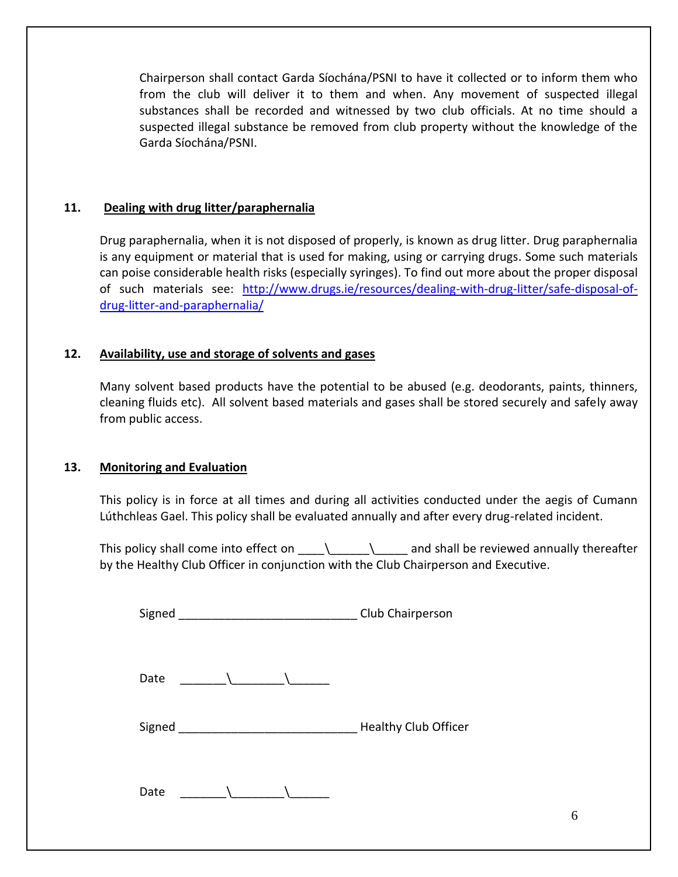Chairperson shall contact Garda Síochána/PSNI to have it collected or to inform them who from the club will deliver it to them and when. Any movement of suspected illegal substances shall be recorded and witnessed by two club officials. At no time should a suspected illegal substance be removed from club property without the knowledge of the Garda Síochána/PSNI.

## **11. Dealing with drug litter/paraphernalia**

Drug paraphernalia, when it is not disposed of properly, is known as drug litter. Drug paraphernalia is any equipment or material that is used for making, using or carrying drugs. Some such materials can poise considerable health risks (especially syringes). To find out more about the proper disposal of such materials see: [http://www.drugs.ie/resources/dealing-with-drug-litter/safe-disposal-of](http://www.drugs.ie/resources/dealing-with-drug-litter/safe-disposal-of-drug-litter-and-paraphernalia/)[drug-litter-and-paraphernalia/](http://www.drugs.ie/resources/dealing-with-drug-litter/safe-disposal-of-drug-litter-and-paraphernalia/)

## **12. Availability, use and storage of solvents and gases**

Many solvent based products have the potential to be abused (e.g. deodorants, paints, thinners, cleaning fluids etc). All solvent based materials and gases shall be stored securely and safely away from public access.

## **13. Monitoring and Evaluation**

This policy is in force at all times and during all activities conducted under the aegis of Cumann Lúthchleas Gael. This policy shall be evaluated annually and after every drug-related incident.

This policy shall come into effect on  $\_\_\_\_\_\_\$  and shall be reviewed annually thereafter by the Healthy Club Officer in conjunction with the Club Chairperson and Executive.

Signed **Signed Signed Signed Signed Signed Club Chairperson** 

| Date |  |  |
|------|--|--|
|      |  |  |

Signed \_\_\_\_\_\_\_\_\_\_\_\_\_\_\_\_\_\_\_\_\_\_\_\_\_\_\_ Healthy Club Officer

Date  $\qquad \qquad \backslash$